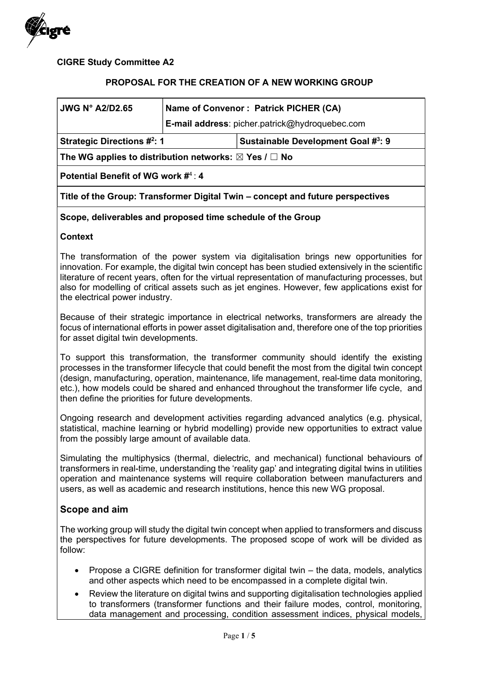

CIGRE Study Committee A2

### PROPOSAL FOR THE CREATION OF A NEW WORKING GROUP

| JWG N° A2/D2.65                                                                | Name of Convenor: Patrick PICHER (CA) |                                                       |  |
|--------------------------------------------------------------------------------|---------------------------------------|-------------------------------------------------------|--|
|                                                                                |                                       | <b>E-mail address:</b> picher.patrick@hydroquebec.com |  |
| <b>Strategic Directions #2: 1</b>                                              |                                       | Sustainable Development Goal #3: 9                    |  |
| The WG applies to distribution networks: $\boxtimes$ Yes / $\Box$ No           |                                       |                                                       |  |
| Potential Benefit of WG work #4: 4                                             |                                       |                                                       |  |
| Title of the Group: Transformer Digital Twin – concept and future perspectives |                                       |                                                       |  |
| Scope, deliverables and proposed time schedule of the Group                    |                                       |                                                       |  |

#### Context

The transformation of the power system via digitalisation brings new opportunities for innovation. For example, the digital twin concept has been studied extensively in the scientific literature of recent years, often for the virtual representation of manufacturing processes, but also for modelling of critical assets such as jet engines. However, few applications exist for the electrical power industry.

Because of their strategic importance in electrical networks, transformers are already the focus of international efforts in power asset digitalisation and, therefore one of the top priorities for asset digital twin developments.

To support this transformation, the transformer community should identify the existing processes in the transformer lifecycle that could benefit the most from the digital twin concept (design, manufacturing, operation, maintenance, life management, real-time data monitoring, etc.), how models could be shared and enhanced throughout the transformer life cycle, and then define the priorities for future developments.

Ongoing research and development activities regarding advanced analytics (e.g. physical, statistical, machine learning or hybrid modelling) provide new opportunities to extract value from the possibly large amount of available data.

Simulating the multiphysics (thermal, dielectric, and mechanical) functional behaviours of transformers in real-time, understanding the 'reality gap' and integrating digital twins in utilities operation and maintenance systems will require collaboration between manufacturers and users, as well as academic and research institutions, hence this new WG proposal.

## Scope and aim

The working group will study the digital twin concept when applied to transformers and discuss the perspectives for future developments. The proposed scope of work will be divided as follow:

- Propose a CIGRE definition for transformer digital twin the data, models, analytics and other aspects which need to be encompassed in a complete digital twin.
- Review the literature on digital twins and supporting digitalisation technologies applied to transformers (transformer functions and their failure modes, control, monitoring, data management and processing, condition assessment indices, physical models,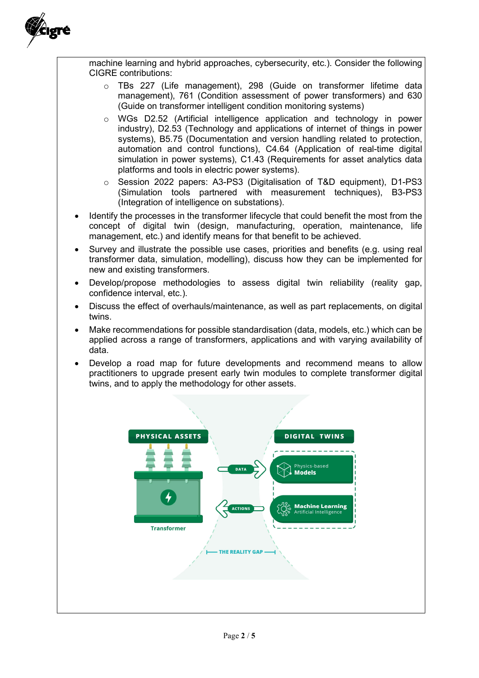

machine learning and hybrid approaches, cybersecurity, etc.). Consider the following CIGRE contributions:

- o TBs 227 (Life management), 298 (Guide on transformer lifetime data management), 761 (Condition assessment of power transformers) and 630 (Guide on transformer intelligent condition monitoring systems)
- o WGs D2.52 (Artificial intelligence application and technology in power industry), D2.53 (Technology and applications of internet of things in power systems), B5.75 (Documentation and version handling related to protection, automation and control functions), C4.64 (Application of real-time digital simulation in power systems), C1.43 (Requirements for asset analytics data platforms and tools in electric power systems).
- o Session 2022 papers: A3-PS3 (Digitalisation of T&D equipment), D1-PS3 (Simulation tools partnered with measurement techniques), B3-PS3 (Integration of intelligence on substations).
- Identify the processes in the transformer lifecycle that could benefit the most from the concept of digital twin (design, manufacturing, operation, maintenance, life management, etc.) and identify means for that benefit to be achieved.
- Survey and illustrate the possible use cases, priorities and benefits (e.g. using real transformer data, simulation, modelling), discuss how they can be implemented for new and existing transformers.
- Develop/propose methodologies to assess digital twin reliability (reality gap, confidence interval, etc.).
- Discuss the effect of overhauls/maintenance, as well as part replacements, on digital twins.
- Make recommendations for possible standardisation (data, models, etc.) which can be applied across a range of transformers, applications and with varying availability of data.
- Develop a road map for future developments and recommend means to allow practitioners to upgrade present early twin modules to complete transformer digital twins, and to apply the methodology for other assets.

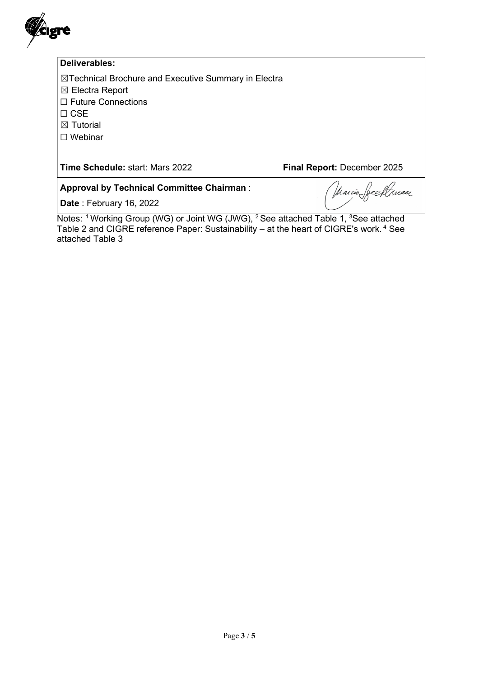

#### Deliverables:

☒Technical Brochure and Executive Summary in Electra

☒ Electra Report

☐ Future Connections

☐ CSE

☒ Tutorial

☐ Webinar

Time Schedule: start: Mars 2022 Final Report: December 2025

Approval by Technical Committee Chairman :

Date: February 16, 2022

reeftpuaer Marcio.

Notes: <sup>1</sup> Working Group (WG) or Joint WG (JWG), <sup>2</sup> See attached Table 1, <sup>3</sup>See attached Table 2 and CIGRE reference Paper: Sustainability – at the heart of CIGRE's work.<sup>4</sup> See attached Table 3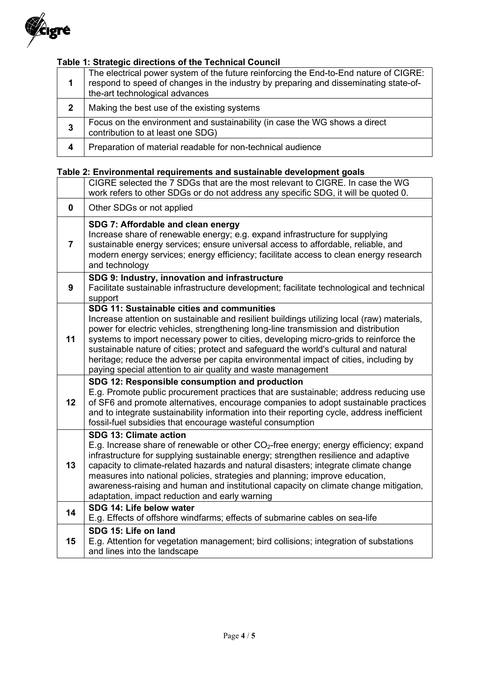

# Table 1: Strategic directions of the Technical Council

|              | The electrical power system of the future reinforcing the End-to-End nature of CIGRE:<br>respond to speed of changes in the industry by preparing and disseminating state-of-<br>the-art technological advances |
|--------------|-----------------------------------------------------------------------------------------------------------------------------------------------------------------------------------------------------------------|
| $\mathbf{2}$ | Making the best use of the existing systems                                                                                                                                                                     |
| 3            | Focus on the environment and sustainability (in case the WG shows a direct<br>contribution to at least one SDG)                                                                                                 |
| 4            | Preparation of material readable for non-technical audience                                                                                                                                                     |

# Table 2: Environmental requirements and sustainable development goals

|                | CIGRE selected the 7 SDGs that are the most relevant to CIGRE. In case the WG<br>work refers to other SDGs or do not address any specific SDG, it will be quoted 0.                                                                                                                                                                                                                                                                                                                                                                                                    |
|----------------|------------------------------------------------------------------------------------------------------------------------------------------------------------------------------------------------------------------------------------------------------------------------------------------------------------------------------------------------------------------------------------------------------------------------------------------------------------------------------------------------------------------------------------------------------------------------|
| 0              | Other SDGs or not applied                                                                                                                                                                                                                                                                                                                                                                                                                                                                                                                                              |
| $\overline{7}$ | SDG 7: Affordable and clean energy<br>Increase share of renewable energy; e.g. expand infrastructure for supplying<br>sustainable energy services; ensure universal access to affordable, reliable, and<br>modern energy services; energy efficiency; facilitate access to clean energy research<br>and technology                                                                                                                                                                                                                                                     |
| 9              | SDG 9: Industry, innovation and infrastructure<br>Facilitate sustainable infrastructure development; facilitate technological and technical<br>support                                                                                                                                                                                                                                                                                                                                                                                                                 |
| 11             | SDG 11: Sustainable cities and communities<br>Increase attention on sustainable and resilient buildings utilizing local (raw) materials,<br>power for electric vehicles, strengthening long-line transmission and distribution<br>systems to import necessary power to cities, developing micro-grids to reinforce the<br>sustainable nature of cities; protect and safeguard the world's cultural and natural<br>heritage; reduce the adverse per capita environmental impact of cities, including by<br>paying special attention to air quality and waste management |
| 12             | SDG 12: Responsible consumption and production<br>E.g. Promote public procurement practices that are sustainable; address reducing use<br>of SF6 and promote alternatives, encourage companies to adopt sustainable practices<br>and to integrate sustainability information into their reporting cycle, address inefficient<br>fossil-fuel subsidies that encourage wasteful consumption                                                                                                                                                                              |
| 13             | SDG 13: Climate action<br>E.g. Increase share of renewable or other CO <sub>2</sub> -free energy; energy efficiency; expand<br>infrastructure for supplying sustainable energy; strengthen resilience and adaptive<br>capacity to climate-related hazards and natural disasters; integrate climate change<br>measures into national policies, strategies and planning; improve education,<br>awareness-raising and human and institutional capacity on climate change mitigation,<br>adaptation, impact reduction and early warning                                    |
| 14             | SDG 14: Life below water<br>E.g. Effects of offshore windfarms; effects of submarine cables on sea-life                                                                                                                                                                                                                                                                                                                                                                                                                                                                |
| 15             | SDG 15: Life on land<br>E.g. Attention for vegetation management; bird collisions; integration of substations<br>and lines into the landscape                                                                                                                                                                                                                                                                                                                                                                                                                          |